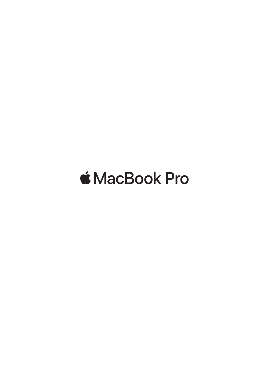# *<u>K</u>* MacBook Pro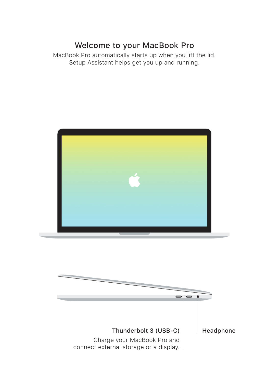# Welcome to your MacBook Pro

MacBook Pro automatically starts up when you lift the lid. Setup Assistant helps get you up and running.



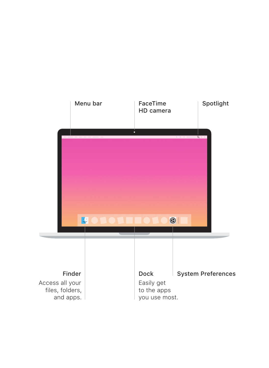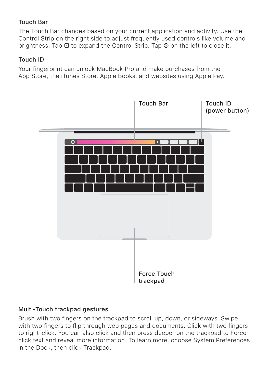#### Touch Bar

The Touch Bar changes based on your current application and activity. Use the Control Strip on the right side to adjust frequently used controls like volume and brightness. Tap  $\overline{\mathbb{R}}$  to expand the Control Strip. Tap  $\otimes$  on the left to close it.

#### Touch ID

Your fingerprint can unlock MacBook Pro and make purchases from the App Store, the iTunes Store, Apple Books, and websites using Apple Pay.



#### Multi-Touch trackpad gestures

Brush with two fingers on the trackpad to scroll up, down, or sideways. Swipe with two fingers to flip through web pages and documents. Click with two fingers to right-click. You can also click and then press deeper on the trackpad to Force click text and reveal more information. To learn more, choose System Preferences in the Dock, then click Trackpad.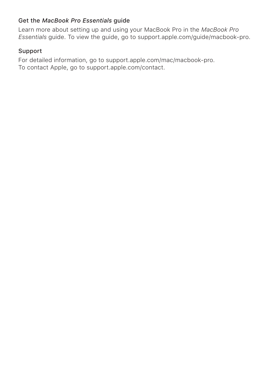### Get the *MacBook Pro Essentials* guide

Learn more about setting up and using your MacBook Pro in the *MacBook Pro Essentials* guide. To view the guide, go to support.apple.com/guide/macbook-pro.

## Support

For detailed information, go to support.apple.com/mac/macbook-pro. To contact Apple, go to [support.apple.com/contact.](http://support.apple.com/contact)